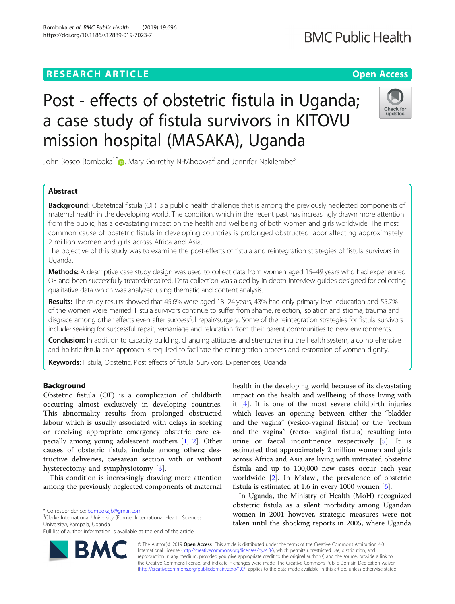## **RESEARCH ARTICLE Example 2018 12:30 THE Open Access**

# Post - effects of obstetric fistula in Uganda; a case study of fistula survivors in KITOVU mission hospital (MASAKA), Uganda

John Bosco Bomboka<sup>1</sup><sup>[\\*](http://orcid.org/0000-0002-7762-2719)</sup> $\bullet$ , Mary Gorrethy N-Mboowa<sup>2</sup> and Jennifer Nakilembe<sup>3</sup>

### Abstract

**Background:** Obstetrical fistula (OF) is a public health challenge that is among the previously neglected components of maternal health in the developing world. The condition, which in the recent past has increasingly drawn more attention from the public, has a devastating impact on the health and wellbeing of both women and girls worldwide. The most common cause of obstetric fistula in developing countries is prolonged obstructed labor affecting approximately 2 million women and girls across Africa and Asia.

The objective of this study was to examine the post-effects of fistula and reintegration strategies of fistula survivors in Uganda.

Methods: A descriptive case study design was used to collect data from women aged 15–49 years who had experienced OF and been successfully treated/repaired. Data collection was aided by in-depth interview guides designed for collecting qualitative data which was analyzed using thematic and content analysis.

Results: The study results showed that 45.6% were aged 18–24 years, 43% had only primary level education and 55.7% of the women were married. Fistula survivors continue to suffer from shame, rejection, isolation and stigma, trauma and disgrace among other effects even after successful repair/surgery. Some of the reintegration strategies for fistula survivors include; seeking for successful repair, remarriage and relocation from their parent communities to new environments.

**Conclusion:** In addition to capacity building, changing attitudes and strengthening the health system, a comprehensive and holistic fistula care approach is required to facilitate the reintegration process and restoration of women dignity.

Keywords: Fistula, Obstetric, Post effects of fistula, Survivors, Experiences, Uganda

#### Background

Obstetric fistula (OF) is a complication of childbirth occurring almost exclusively in developing countries. This abnormality results from prolonged obstructed labour which is usually associated with delays in seeking or receiving appropriate emergency obstetric care especially among young adolescent mothers [\[1](#page-6-0), [2\]](#page-6-0). Other causes of obstetric fistula include among others; destructive deliveries, caesarean section with or without hysterectomy and symphysiotomy [\[3](#page-6-0)].

This condition is increasingly drawing more attention among the previously neglected components of maternal

© The Author(s). 2019 Open Access This article is distributed under the terms of the Creative Commons Attribution 4.0 International License [\(http://creativecommons.org/licenses/by/4.0/](http://creativecommons.org/licenses/by/4.0/)), which permits unrestricted use, distribution, and reproduction in any medium, provided you give appropriate credit to the original author(s) and the source, provide a link to the Creative Commons license, and indicate if changes were made. The Creative Commons Public Domain Dedication waiver [\(http://creativecommons.org/publicdomain/zero/1.0/](http://creativecommons.org/publicdomain/zero/1.0/)) applies to the data made available in this article, unless otherwise stated.

health in the developing world because of its devastating impact on the health and wellbeing of those living with it [[4\]](#page-6-0). It is one of the most severe childbirth injuries which leaves an opening between either the "bladder and the vagina" (vesico-vaginal fistula) or the "rectum and the vagina" (recto- vaginal fistula) resulting into urine or faecal incontinence respectively [\[5](#page-6-0)]. It is estimated that approximately 2 million women and girls across Africa and Asia are living with untreated obstetric fistula and up to 100,000 new cases occur each year worldwide [[2\]](#page-6-0). In Malawi, the prevalence of obstetric fistula is estimated at 1.6 in every 1000 women [\[6](#page-6-0)].

In Uganda, the Ministry of Health (MoH) recognized obstetric fistula as a silent morbidity among Ugandan women in 2001 however, strategic measures were not taken until the shocking reports in 2005, where Uganda

Clarke International University (Former International Health Sciences University), Kampala, Uganda





## **BMC Public Health**

<sup>\*</sup> Correspondence: [bombokajb@gmail.com](mailto:bombokajb@gmail.com) <sup>1</sup>

Full list of author information is available at the end of the article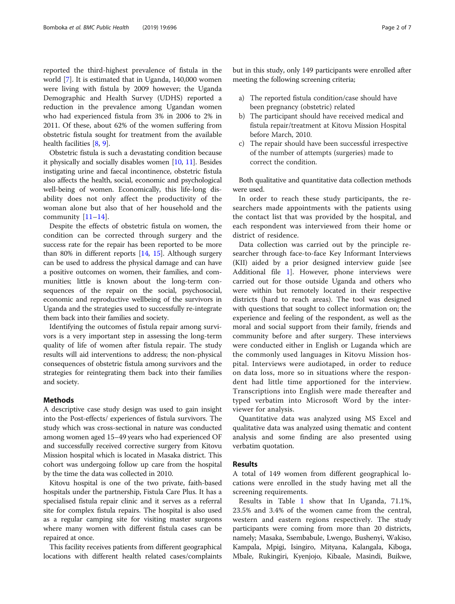reported the third-highest prevalence of fistula in the world [\[7](#page-6-0)]. It is estimated that in Uganda, 140,000 women were living with fistula by 2009 however; the Uganda Demographic and Health Survey (UDHS) reported a reduction in the prevalence among Ugandan women who had experienced fistula from 3% in 2006 to 2% in 2011. Of these, about 62% of the women suffering from obstetric fistula sought for treatment from the available health facilities [\[8](#page-6-0), [9](#page-6-0)].

Obstetric fistula is such a devastating condition because it physically and socially disables women [\[10,](#page-6-0) [11\]](#page-6-0). Besides instigating urine and faecal incontinence, obstetric fistula also affects the health, social, economic and psychological well-being of women. Economically, this life-long disability does not only affect the productivity of the woman alone but also that of her household and the community [\[11](#page-6-0)–[14](#page-6-0)].

Despite the effects of obstetric fistula on women, the condition can be corrected through surgery and the success rate for the repair has been reported to be more than 80% in different reports [[14](#page-6-0), [15](#page-6-0)]. Although surgery can be used to address the physical damage and can have a positive outcomes on women, their families, and communities; little is known about the long-term consequences of the repair on the social, psychosocial, economic and reproductive wellbeing of the survivors in Uganda and the strategies used to successfully re-integrate them back into their families and society.

Identifying the outcomes of fistula repair among survivors is a very important step in assessing the long-term quality of life of women after fistula repair. The study results will aid interventions to address; the non-physical consequences of obstetric fistula among survivors and the strategies for reintegrating them back into their families and society.

#### Methods

A descriptive case study design was used to gain insight into the Post-effects/ experiences of fistula survivors. The study which was cross-sectional in nature was conducted among women aged 15–49 years who had experienced OF and successfully received corrective surgery from Kitovu Mission hospital which is located in Masaka district. This cohort was undergoing follow up care from the hospital by the time the data was collected in 2010.

Kitovu hospital is one of the two private, faith-based hospitals under the partnership, Fistula Care Plus. It has a specialised fistula repair clinic and it serves as a referral site for complex fistula repairs. The hospital is also used as a regular camping site for visiting master surgeons where many women with different fistula cases can be repaired at once.

This facility receives patients from different geographical locations with different health related cases/complaints but in this study, only 149 participants were enrolled after

a) The reported fistula condition/case should have been pregnancy (obstetric) related

meeting the following screening criteria;

- b) The participant should have received medical and fistula repair/treatment at Kitovu Mission Hospital before March, 2010.
- c) The repair should have been successful irrespective of the number of attempts (surgeries) made to correct the condition.

Both qualitative and quantitative data collection methods were used.

In order to reach these study participants, the researchers made appointments with the patients using the contact list that was provided by the hospital, and each respondent was interviewed from their home or district of residence.

Data collection was carried out by the principle researcher through face-to-face Key Informant Interviews (KII) aided by a prior designed interview guide [see Additional file [1\]](#page-5-0). However, phone interviews were carried out for those outside Uganda and others who were within but remotely located in their respective districts (hard to reach areas). The tool was designed with questions that sought to collect information on; the experience and feeling of the respondent, as well as the moral and social support from their family, friends and community before and after surgery. These interviews were conducted either in English or Luganda which are the commonly used languages in Kitovu Mission hospital. Interviews were audiotaped, in order to reduce on data loss, more so in situations where the respondent had little time apportioned for the interview. Transcriptions into English were made thereafter and typed verbatim into Microsoft Word by the interviewer for analysis.

Quantitative data was analyzed using MS Excel and qualitative data was analyzed using thematic and content analysis and some finding are also presented using verbatim quotation.

#### Results

A total of 149 women from different geographical locations were enrolled in the study having met all the screening requirements.

Results in Table [1](#page-2-0) show that In Uganda, 71.1%, 23.5% and 3.4% of the women came from the central, western and eastern regions respectively. The study participants were coming from more than 20 districts, namely; Masaka, Ssembabule, Lwengo, Bushenyi, Wakiso, Kampala, Mpigi, Isingiro, Mityana, Kalangala, Kiboga, Mbale, Rukingiri, Kyenjojo, Kibaale, Masindi, Buikwe,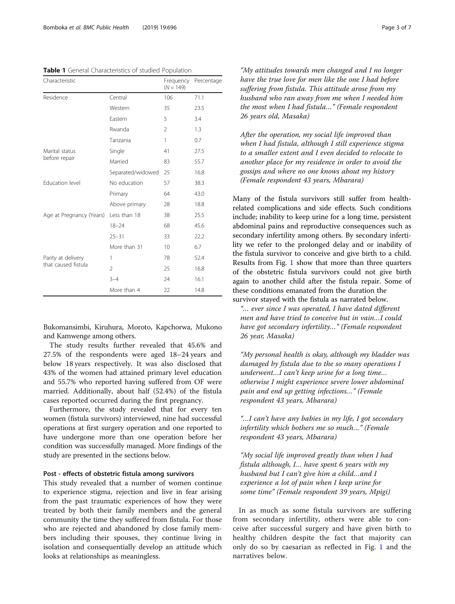<span id="page-2-0"></span>Table 1 General Characteristics of studied Population

| Characteristic                            |                   | Frequency<br>$(N = 149)$ | Percentage |
|-------------------------------------------|-------------------|--------------------------|------------|
| Residence                                 | Central           | 106                      | 71.1       |
|                                           | Western           | 35                       | 23.5       |
|                                           | Eastern           | 5                        | 3.4        |
|                                           | Rwanda            | 2                        | 1.3        |
|                                           | Tanzania          | 1                        | 0.7        |
| Marital status<br>before repair           | Single            | 41                       | 27.5       |
|                                           | Married           | 83                       | 55.7       |
|                                           | Separated/widowed | 25                       | 16.8       |
| Education level                           | No education      | 57                       | 38.3       |
|                                           | Primary           | 64                       | 43.0       |
|                                           | Above primary     | 28                       | 18.8       |
| Age at Pregnancy (Years)                  | Less than 18      | 38                       | 25.5       |
|                                           | $18 - 24$         | 68                       | 45.6       |
|                                           | $25 - 31$         | 33                       | 22.2       |
|                                           | More than 31      | 10                       | 6.7        |
| Parity at delivery<br>that caused fistula | 1                 | 78                       | 52.4       |
|                                           | 2                 | 25                       | 16.8       |
|                                           | $3 - 4$           | 24                       | 16.1       |
|                                           | More than 4       | 22                       | 14.8       |

Bukomansimbi, Kiruhura, Moroto, Kapchorwa, Mukono and Kamwenge among others.

The study results further revealed that 45.6% and 27.5% of the respondents were aged 18–24 years and below 18 years respectively. It was also disclosed that 43% of the women had attained primary level education and 55.7% who reported having suffered from OF were married. Additionally, about half (52.4%) of the fistula cases reported occurred during the first pregnancy.

Furthermore, the study revealed that for every ten women (fistula survivors) interviewed, nine had successful operations at first surgery operation and one reported to have undergone more than one operation before her condition was successfully managed. More findings of the study are presented in the sections below.

#### Post - effects of obstetric fistula among survivors

This study revealed that a number of women continue to experience stigma, rejection and live in fear arising from the past traumatic experiences of how they were treated by both their family members and the general community the time they suffered from fistula. For those who are rejected and abandoned by close family members including their spouses, they continue living in isolation and consequentially develop an attitude which looks at relationships as meaningless.

"My attitudes towards men changed and I no longer have the true love for men like the one I had before suffering from fistula. This attitude arose from my husband who ran away from me when I needed him the most when I had fistula…" (Female respondent 26 years old, Masaka)

After the operation, my social life improved than when I had fistula, although I still experience stigma to a smaller extent and I even decided to relocate to another place for my residence in order to avoid the gossips and where no one knows about my history (Female respondent 43 years, Mbarara)

Many of the fistula survivors still suffer from healthrelated complications and side effects. Such conditions include; inability to keep urine for a long time, persistent abdominal pains and reproductive consequences such as secondary infertility among others. By secondary infertility we refer to the prolonged delay and or inability of the fistula survivor to conceive and give birth to a child. Results from Fig. [1](#page-3-0) show that more than three quarters of the obstetric fistula survivors could not give birth again to another child after the fistula repair. Some of these conditions emanated from the duration the survivor stayed with the fistula as narrated below.

"… ever since I was operated, I have dated different men and have tried to conceive but in vain…I could have got secondary infertility…" (Female respondent 26 year, Masaka)

"My personal health is okay, although my bladder was damaged by fistula due to the so many operations I underwent…I can't keep urine for a long time… otherwise I might experience severe lower abdominal pain and end up getting infections…" (Female respondent 43 years, Mbarara)

"…I can't have any babies in my life, I got secondary infertility which bothers me so much…" (Female respondent 43 years, Mbarara)

"My social life improved greatly than when I had fistula although, I… have spent 6 years with my husband but I can't give him a child…and I experience a lot of pain when I keep urine for some time" (Female respondent 39 years, Mpigi)

In as much as some fistula survivors are suffering from secondary infertility, others were able to conceive after successful surgery and have given birth to healthy children despite the fact that majority can only do so by caesarian as reflected in Fig. [1](#page-3-0) and the narratives below.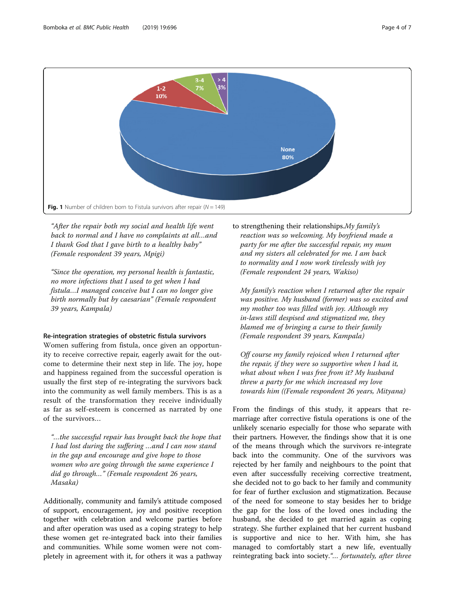<span id="page-3-0"></span>

"After the repair both my social and health life went back to normal and I have no complaints at all…and I thank God that I gave birth to a healthy baby" (Female respondent 39 years, Mpigi)

"Since the operation, my personal health is fantastic, no more infections that I used to get when I had fistula…I managed conceive but I can no longer give birth normally but by caesarian" (Female respondent 39 years, Kampala)

#### Re-integration strategies of obstetric fistula survivors

Women suffering from fistula, once given an opportunity to receive corrective repair, eagerly await for the outcome to determine their next step in life. The joy, hope and happiness regained from the successful operation is usually the first step of re-integrating the survivors back into the community as well family members. This is as a result of the transformation they receive individually as far as self-esteem is concerned as narrated by one of the survivors…

"…the successful repair has brought back the hope that I had lost during the suffering …and I can now stand in the gap and encourage and give hope to those women who are going through the same experience I did go through…" (Female respondent 26 years, Masaka)

Additionally, community and family's attitude composed of support, encouragement, joy and positive reception together with celebration and welcome parties before and after operation was used as a coping strategy to help these women get re-integrated back into their families and communities. While some women were not completely in agreement with it, for others it was a pathway to strengthening their relationships.My family's reaction was so welcoming. My boyfriend made a party for me after the successful repair, my mum and my sisters all celebrated for me. I am back to normality and I now work tirelessly with joy (Female respondent 24 years, Wakiso)

My family's reaction when I returned after the repair was positive. My husband (former) was so excited and my mother too was filled with joy. Although my in-laws still despised and stigmatized me, they blamed me of bringing a curse to their family (Female respondent 39 years, Kampala)

Off course my family rejoiced when I returned after the repair, if they were so supportive when I had it, what about when I was free from it? My husband threw a party for me which increased my love towards him ((Female respondent 26 years, Mityana)

From the findings of this study, it appears that remarriage after corrective fistula operations is one of the unlikely scenario especially for those who separate with their partners. However, the findings show that it is one of the means through which the survivors re-integrate back into the community. One of the survivors was rejected by her family and neighbours to the point that even after successfully receiving corrective treatment, she decided not to go back to her family and community for fear of further exclusion and stigmatization. Because of the need for someone to stay besides her to bridge the gap for the loss of the loved ones including the husband, she decided to get married again as coping strategy. She further explained that her current husband is supportive and nice to her. With him, she has managed to comfortably start a new life, eventually reintegrating back into society."… fortunately, after three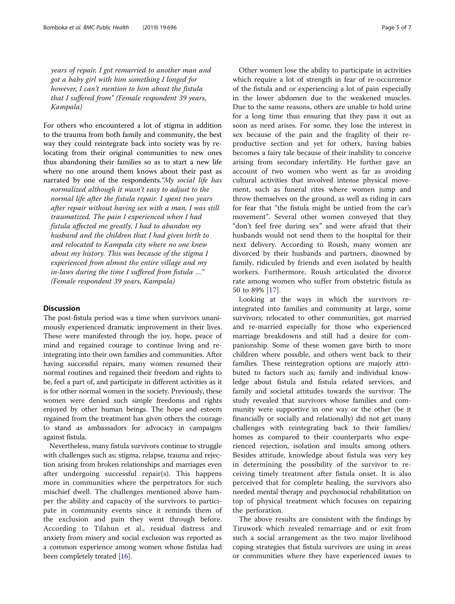years of repair, I got remarried to another man and got a baby girl with him something I longed for however, I can't mention to him about the fistula that I suffered from" (Female respondent 39 years, Kampala)

For others who encountered a lot of stigma in addition to the trauma from both family and community, the best way they could reintegrate back into society was by relocating from their original communities to new ones thus abandoning their families so as to start a new life where no one around them knows about their past as narrated by one of the respondents. "My social life has

normalized although it wasn't easy to adjust to the normal life after the fistula repair. I spent two years after repair without having sex with a man, I was still traumatized. The pain I experienced when I had fistula affected me greatly. I had to abandon my husband and the children that I had given birth to and relocated to Kampala city where no one knew about my history. This was because of the stigma I experienced from almost the entire village and my in-laws during the time I suffered from fistula …" (Female respondent 39 years, Kampala)

#### **Discussion**

The post-fistula period was a time when survivors unanimously experienced dramatic improvement in their lives. These were manifested through the joy, hope, peace of mind and regained courage to continue living and reintegrating into their own families and communities. After having successful repairs, many women resumed their normal routines and regained their freedom and rights to be, feel a part of, and participate in different activities as it is for other normal women in the society. Previously, these women were denied such simple freedoms and rights enjoyed by other human beings. The hope and esteem regained from the treatment has given others the courage to stand as ambassadors for advocacy in campaigns against fistula.

Nevertheless, many fistula survivors continue to struggle with challenges such as; stigma, relapse, trauma and rejection arising from broken relationships and marriages even after undergoing successful repair(s). This happens more in communities where the perpetrators for such mischief dwell. The challenges mentioned above hamper the ability and capacity of the survivors to participate in community events since it reminds them of the exclusion and pain they went through before. According to Tilahun et al., residual distress and anxiety from misery and social exclusion was reported as a common experience among women whose fistulas had been completely treated [\[16\]](#page-6-0).

Other women lose the ability to participate in activities which require a lot of strength in fear of re-occurrence of the fistula and or experiencing a lot of pain especially in the lower abdomen due to the weakened muscles. Due to the same reasons, others are unable to hold urine for a long time thus ensuring that they pass it out as soon as need arises. For some, they lose the interest in sex because of the pain and the fragility of their reproductive section and yet for others, having babies becomes a fairy tale because of their inability to conceive arising from secondary infertility. He further gave an account of two women who went as far as avoiding cultural activities that involved intense physical movement, such as funeral rites where women jump and throw themselves on the ground, as well as riding in cars for fear that "the fistula might be untied from the car's movement". Several other women conveyed that they "don't feel free during sex" and were afraid that their husbands would not send them to the hospital for their next delivery. According to Roush, many women are divorced by their husbands and partners, disowned by family, ridiculed by friends and even isolated by health workers. Furthermore, Roush articulated the divorce rate among women who suffer from obstetric fistula as 50 to 89% [\[17](#page-6-0)].

Looking at the ways in which the survivors reintegrated into families and community at large, some survivors; relocated to other communities, got married and re-married especially for those who experienced marriage breakdowns and still had a desire for companionship. Some of these women gave birth to more children where possible, and others went back to their families. These reintegration options are majorly attributed to factors such as; family and individual knowledge about fistula and fistula related services, and family and societal attitudes towards the survivor. The study revealed that survivors whose families and community were supportive in one way or the other (be it financially or socially and relationally) did not get many challenges with reintegrating back to their families/ homes as compared to their counterparts who experienced rejection, isolation and insults among others. Besides attitude, knowledge about fistula was very key in determining the possibility of the survivor to receiving timely treatment after fistula onset. It is also perceived that for complete healing, the survivors also needed mental therapy and psychosocial rehabilitation on top of physical treatment which focuses on repairing the perforation.

The above results are consistent with the findings by Tiruwork which revealed remarriage and or exit from such a social arrangement as the two major livelihood coping strategies that fistula survivors are using in areas or communities where they have experienced issues to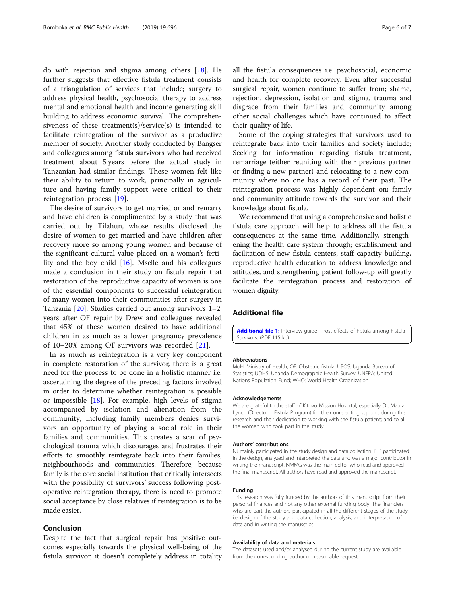<span id="page-5-0"></span>do with rejection and stigma among others [[18\]](#page-6-0). He further suggests that effective fistula treatment consists of a triangulation of services that include; surgery to address physical health, psychosocial therapy to address mental and emotional health and income generating skill building to address economic survival. The comprehensiveness of these treatment(s)/service(s) is intended to facilitate reintegration of the survivor as a productive member of society. Another study conducted by Bangser and colleagues among fistula survivors who had received treatment about 5 years before the actual study in Tanzanian had similar findings. These women felt like their ability to return to work, principally in agriculture and having family support were critical to their reintegration process [[19\]](#page-6-0).

The desire of survivors to get married or and remarry and have children is complimented by a study that was carried out by Tilahun, whose results disclosed the desire of women to get married and have children after recovery more so among young women and because of the significant cultural value placed on a woman's fertility and the boy child [\[16](#page-6-0)]. Mselle and his colleagues made a conclusion in their study on fistula repair that restoration of the reproductive capacity of women is one of the essential components to successful reintegration of many women into their communities after surgery in Tanzania  $[20]$  $[20]$ . Studies carried out among survivors  $1-2$ years after OF repair by Drew and colleagues revealed that 45% of these women desired to have additional children in as much as a lower pregnancy prevalence of 10–20% among OF survivors was recorded [[21\]](#page-6-0).

In as much as reintegration is a very key component in complete restoration of the survivor, there is a great need for the process to be done in a holistic manner i.e. ascertaining the degree of the preceding factors involved in order to determine whether reintegration is possible or impossible [[18](#page-6-0)]. For example, high levels of stigma accompanied by isolation and alienation from the community, including family members denies survivors an opportunity of playing a social role in their families and communities. This creates a scar of psychological trauma which discourages and frustrates their efforts to smoothly reintegrate back into their families, neighbourhoods and communities. Therefore, because family is the core social institution that critically intersects with the possibility of survivors' success following postoperative reintegration therapy, there is need to promote social acceptance by close relatives if reintegration is to be made easier.

#### Conclusion

Despite the fact that surgical repair has positive outcomes especially towards the physical well-being of the fistula survivor, it doesn't completely address in totality all the fistula consequences i.e. psychosocial, economic and health for complete recovery. Even after successful surgical repair, women continue to suffer from; shame, rejection, depression, isolation and stigma, trauma and disgrace from their families and community among other social challenges which have continued to affect their quality of life.

Some of the coping strategies that survivors used to reintegrate back into their families and society include; Seeking for information regarding fistula treatment, remarriage (either reuniting with their previous partner or finding a new partner) and relocating to a new community where no one has a record of their past. The reintegration process was highly dependent on; family and community attitude towards the survivor and their knowledge about fistula.

We recommend that using a comprehensive and holistic fistula care approach will help to address all the fistula consequences at the same time. Additionally, strengthening the health care system through; establishment and facilitation of new fistula centers, staff capacity building, reproductive health education to address knowledge and attitudes, and strengthening patient follow-up will greatly facilitate the reintegration process and restoration of women dignity.

### Additional file

[Additional file 1:](https://doi.org/10.1186/s12889-019-7023-7) Interview quide - Post effects of Fistula among Fistula Survivors. (PDF 115 kb)

#### Abbreviations

MoH: Ministry of Health; OF: Obstetric fistula; UBOS: Uganda Bureau of Statistics; UDHS: Uganda Demographic Health Survey; UNFPA: United Nations Population Fund; WHO: World Health Organization

#### Acknowledgements

We are grateful to the staff of Kitovu Mission Hospital, especially Dr. Maura Lynch (Director – Fistula Program) for their unrelenting support during this research and their dedication to working with the fistula patient; and to all the women who took part in the study.

#### Authors' contributions

NJ mainly participated in the study design and data collection. BJB participated in the design, analyzed and interpreted the data and was a major contributor in writing the manuscript. NMMG was the main editor who read and approved the final manuscript. All authors have read and approved the manuscript.

#### Funding

This research was fully funded by the authors of this manuscript from their personal finances and not any other external funding body. The financiers who are part the authors participated in all the different stages of the study i.e. design of the study and data collection, analysis, and interpretation of data and in writing the manuscript.

#### Availability of data and materials

The datasets used and/or analysed during the current study are available from the corresponding author on reasonable request.